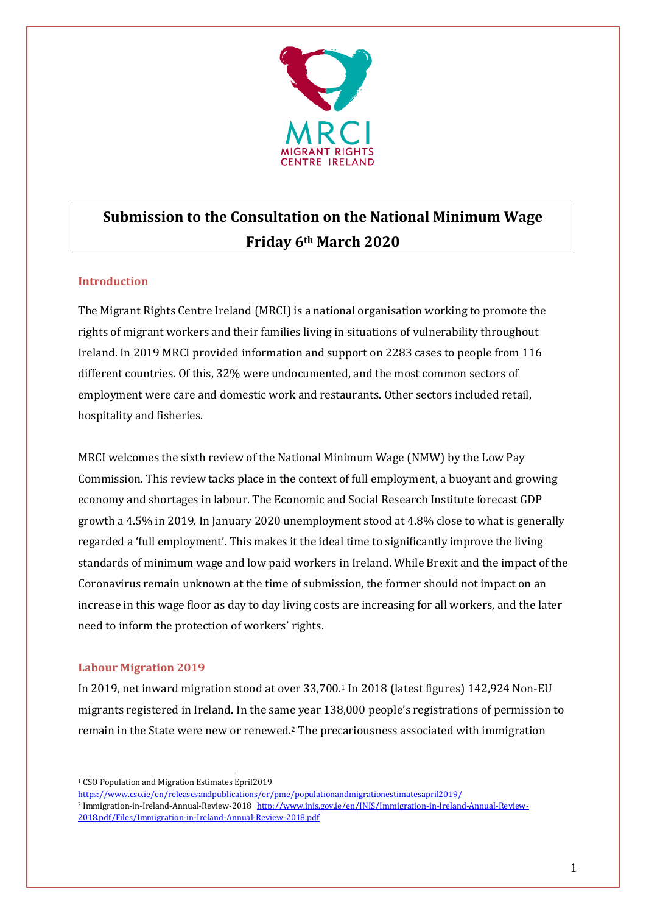

# **Submission to the Consultation on the National Minimum Wage Friday 6th March 2020**

# **Introduction**

The Migrant Rights Centre Ireland (MRCI) is a national organisation working to promote the rights of migrant workers and their families living in situations of vulnerability throughout Ireland. In 2019 MRCI provided information and support on 2283 cases to people from 116 different countries. Of this, 32% were undocumented, and the most common sectors of employment were care and domestic work and restaurants. Other sectors included retail, hospitality and fisheries.

MRCI welcomes the sixth review of the National Minimum Wage (NMW) by the Low Pay Commission. This review tacks place in the context of full employment, a buoyant and growing economy and shortages in labour. The Economic and Social Research Institute forecast GDP growth a 4.5% in 2019. In January 2020 unemployment stood at 4.8% close to what is generally regarded a 'full employment'. This makes it the ideal time to significantly improve the living standards of minimum wage and low paid workers in Ireland. While Brexit and the impact of the Coronavirus remain unknown at the time of submission, the former should not impact on an increase in this wage floor as day to day living costs are increasing for all workers, and the later need to inform the protection of workers' rights.

# **Labour Migration 2019**

In 2019, net inward migration stood at over 33,700. <sup>1</sup> In 2018 (latest figures) 142,924 Non-EU migrants registered in Ireland. In the same year 138,000 people's registrations of permission to remain in the State were new or renewed. <sup>2</sup> The precariousness associated with immigration

<https://www.cso.ie/en/releasesandpublications/er/pme/populationandmigrationestimatesapril2019/>

<sup>1</sup> <sup>1</sup> CSO Population and Migration Estimates Epril2019

<sup>2</sup> Immigration-in-Ireland-Annual-Review-2018 [http://www.inis.gov.ie/en/INIS/Immigration-in-Ireland-Annual-Review-](http://www.inis.gov.ie/en/INIS/Immigration-in-Ireland-Annual-Review-2018.pdf/Files/Immigration-in-Ireland-Annual-Review-2018.pdf)[2018.pdf/Files/Immigration-in-Ireland-Annual-Review-2018.pdf](http://www.inis.gov.ie/en/INIS/Immigration-in-Ireland-Annual-Review-2018.pdf/Files/Immigration-in-Ireland-Annual-Review-2018.pdf)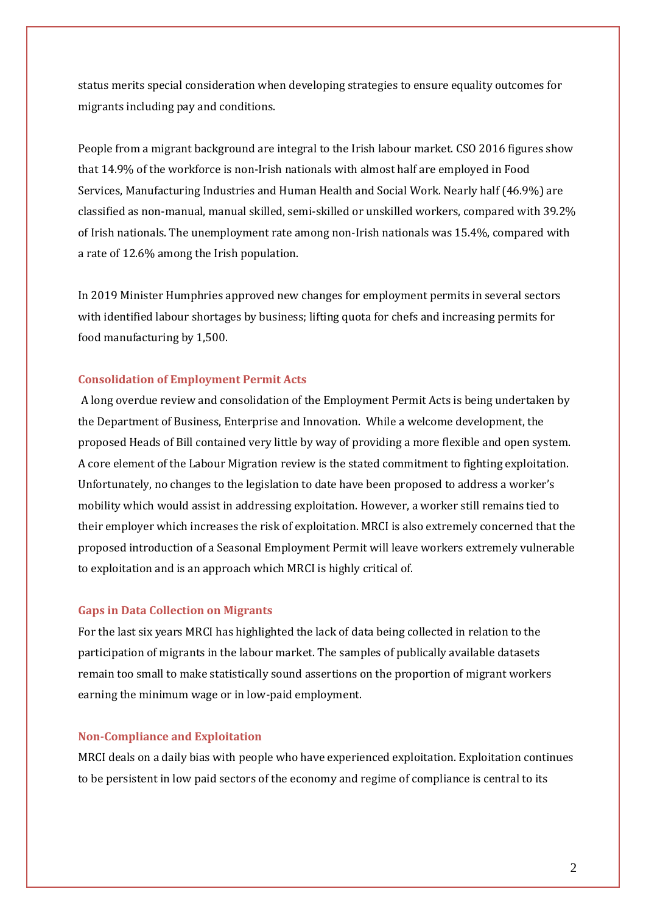status merits special consideration when developing strategies to ensure equality outcomes for migrants including pay and conditions.

People from a migrant background are integral to the Irish labour market. CSO 2016 figures show that 14.9% of the workforce is non-Irish nationals with almost half are employed in Food Services, Manufacturing Industries and Human Health and Social Work. Nearly half (46.9%) are classified as non-manual, manual skilled, semi-skilled or unskilled workers, compared with 39.2% of Irish nationals. The unemployment rate among non-Irish nationals was 15.4%, compared with a rate of 12.6% among the Irish population.

In 2019 Minister Humphries approved new changes for employment permits in several sectors with identified labour shortages by business; lifting quota for chefs and increasing permits for food manufacturing by 1,500.

## **Consolidation of Employment Permit Acts**

A long overdue review and consolidation of the Employment Permit Acts is being undertaken by the Department of Business, Enterprise and Innovation. While a welcome development, the proposed Heads of Bill contained very little by way of providing a more flexible and open system. A core element of the Labour Migration review is the stated commitment to fighting exploitation. Unfortunately, no changes to the legislation to date have been proposed to address a worker's mobility which would assist in addressing exploitation. However, a worker still remains tied to their employer which increases the risk of exploitation. MRCI is also extremely concerned that the proposed introduction of a Seasonal Employment Permit will leave workers extremely vulnerable to exploitation and is an approach which MRCI is highly critical of.

## **Gaps in Data Collection on Migrants**

For the last six years MRCI has highlighted the lack of data being collected in relation to the participation of migrants in the labour market. The samples of publically available datasets remain too small to make statistically sound assertions on the proportion of migrant workers earning the minimum wage or in low-paid employment.

## **Non-Compliance and Exploitation**

MRCI deals on a daily bias with people who have experienced exploitation. Exploitation continues to be persistent in low paid sectors of the economy and regime of compliance is central to its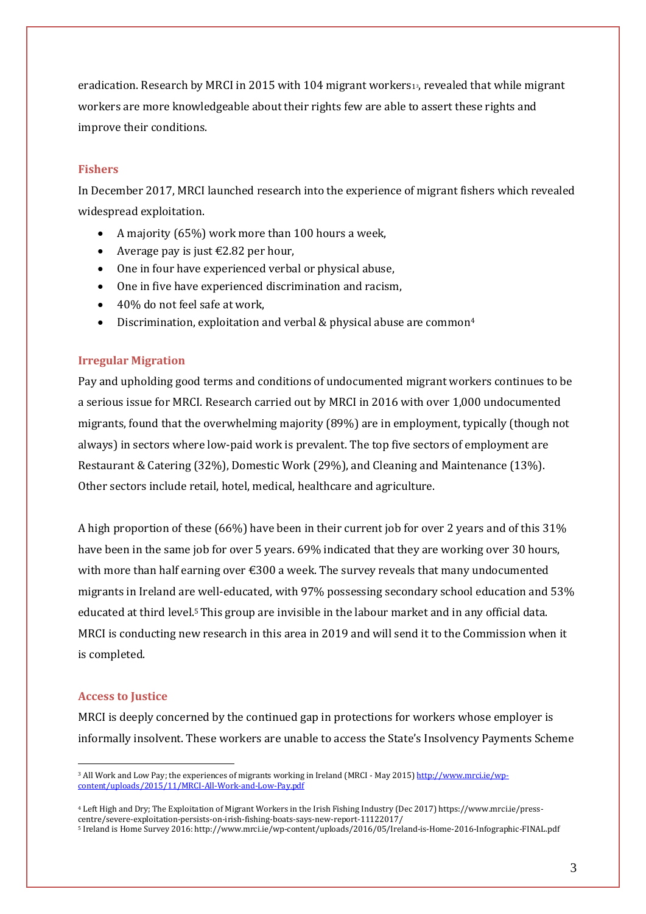eradication. Research by MRCI in 2015 with 104 migrant workers<sup>1</sup>3, revealed that while migrant workers are more knowledgeable about their rights few are able to assert these rights and improve their conditions.

## **Fishers**

In December 2017, MRCI launched research into the experience of migrant fishers which revealed widespread exploitation.

- A majority (65%) work more than 100 hours a week,
- Average pay is just  $E2.82$  per hour,
- One in four have experienced verbal or physical abuse,
- One in five have experienced discrimination and racism,
- 40% do not feel safe at work,
- $\bullet$  Discrimination, exploitation and verbal & physical abuse are common<sup>4</sup>

# **Irregular Migration**

Pay and upholding good terms and conditions of undocumented migrant workers continues to be a serious issue for MRCI. Research carried out by MRCI in 2016 with over 1,000 undocumented migrants, found that the overwhelming majority (89%) are in employment, typically (though not always) in sectors where low-paid work is prevalent. The top five sectors of employment are Restaurant & Catering (32%), Domestic Work (29%), and Cleaning and Maintenance (13%). Other sectors include retail, hotel, medical, healthcare and agriculture.

A high proportion of these (66%) have been in their current job for over 2 years and of this 31% have been in the same job for over 5 years. 69% indicated that they are working over 30 hours, with more than half earning over €300 a week. The survey reveals that many undocumented migrants in Ireland are well-educated, with 97% possessing secondary school education and 53% educated at third level.5This group are invisible in the labour market and in any official data. MRCI is conducting new research in this area in 2019 and will send it to the Commission when it is completed.

## **Access to Justice**

<u>.</u>

MRCI is deeply concerned by the continued gap in protections for workers whose employer is informally insolvent. These workers are unable to access the State's Insolvency Payments Scheme

<sup>&</sup>lt;sup>3</sup> All Work and Low Pay; the experiences of migrants working in Ireland (MRCI - May 2015[\) http://www.mrci.ie/wp](http://www.mrci.ie/wp-content/uploads/2015/11/MRCI-All-Work-and-Low-Pay.pdf)[content/uploads/2015/11/MRCI-All-Work-and-Low-Pay.pdf](http://www.mrci.ie/wp-content/uploads/2015/11/MRCI-All-Work-and-Low-Pay.pdf)

<sup>4</sup> Left High and Dry; The Exploitation of Migrant Workers in the Irish Fishing Industry (Dec 2017) https://www.mrci.ie/presscentre/severe-exploitation-persists-on-irish-fishing-boats-says-new-report-11122017/ <sup>5</sup> Ireland is Home Survey 2016: http://www.mrci.ie/wp-content/uploads/2016/05/Ireland-is-Home-2016-Infographic-FINAL.pdf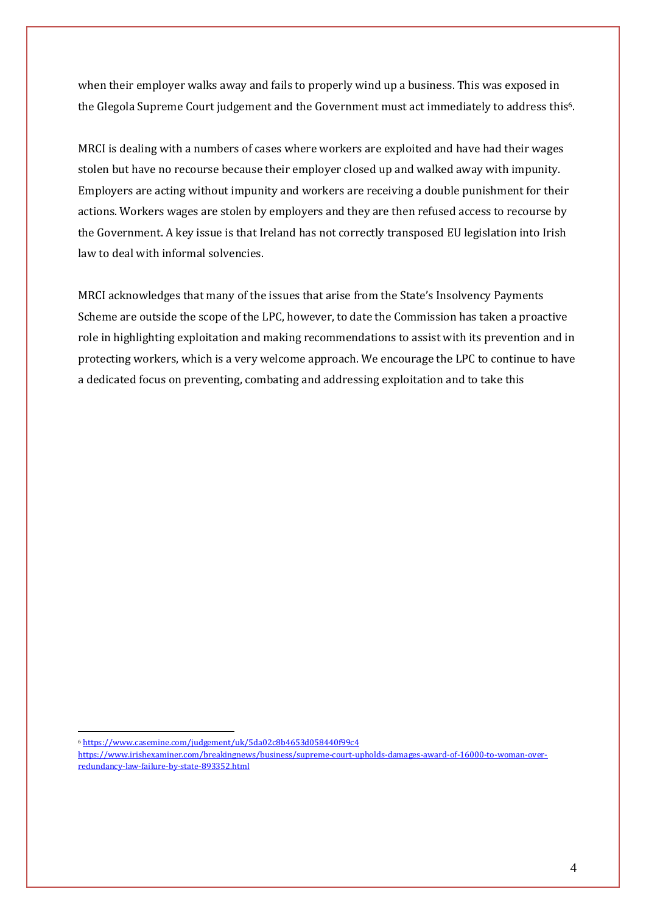when their employer walks away and fails to properly wind up a business. This was exposed in the Glegola Supreme Court judgement and the Government must act immediately to address this6.

MRCI is dealing with a numbers of cases where workers are exploited and have had their wages stolen but have no recourse because their employer closed up and walked away with impunity. Employers are acting without impunity and workers are receiving a double punishment for their actions. Workers wages are stolen by employers and they are then refused access to recourse by the Government. A key issue is that Ireland has not correctly transposed EU legislation into Irish law to deal with informal solvencies.

MRCI acknowledges that many of the issues that arise from the State's Insolvency Payments Scheme are outside the scope of the LPC, however, to date the Commission has taken a proactive role in highlighting exploitation and making recommendations to assist with its prevention and in protecting workers, which is a very welcome approach. We encourage the LPC to continue to have a dedicated focus on preventing, combating and addressing exploitation and to take this

<sup>&</sup>lt;u>.</u> <sup>6</sup> <https://www.casemine.com/judgement/uk/5da02c8b4653d058440f99c4>

[https://www.irishexaminer.com/breakingnews/business/supreme-court-upholds-damages-award-of-16000-to-woman-over](https://www.irishexaminer.com/breakingnews/business/supreme-court-upholds-damages-award-of-16000-to-woman-over-redundancy-law-failure-by-state-893352.html)[redundancy-law-failure-by-state-893352.html](https://www.irishexaminer.com/breakingnews/business/supreme-court-upholds-damages-award-of-16000-to-woman-over-redundancy-law-failure-by-state-893352.html)